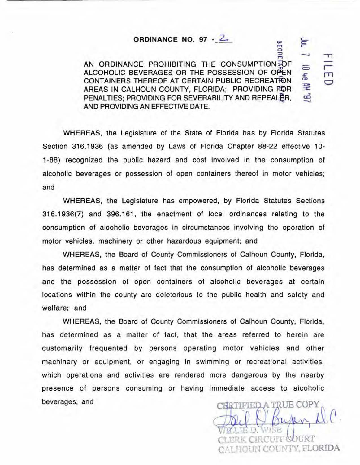## **ORDINANCE NO. 97 - 2.**

AN ORDINANCE PROHIBITING THE CONSUMPTION FOF ALCOHOLIC BEVERAGES OR THE POSSESSION OF OPEN CONTAINERS THEREOF AT CERTAIN PUBLIC RECREATION AREAS IN CALHOUN COUNTY, FLORIDA; PROVIDING FOR PENALTIES; PROVIDING FOR SEVERABILITY AND REPEALER. AND PROVIDING AN EFFECTIVE DATE.

WHEREAS, the legislature of the State of Florida has by Florida Statutes Section 316.1936 (as amended by Laws of Florida Chapter 88-22 effective 10-1-88) recognized the public hazard and cost involved in the consumption of alcoholic beverages or possession of open containers thereof in motor vehicles; and

WHEREAS, the Legislature has empowered, by Florida Statutes Sections 316.1936(7) and 396.161, the enactment of local ordinances relating to the consumption of alcoholic beverages in circumstances involving the operation of motor vehicles, machinery or other hazardous equipment; and

WHEREAS, the Board of County Commissioners of Calhoun County, Florida, has determined as a matter of fact that the consumption of alcoholic beverages and the possession of open containers of alcoholic beverages at certain locations within the county are deleterious to the public health and safety and welfare; and

WHEREAS, the Board of County Commissioners of Calhoun County. Florida, has determined as a matter of fact, that the areas referred to herein are customarily frequented by persons operating motor vehicles and other machinery or equipment, or engaging In swimming or recreational activities, which operations and activities are rendered more dangerous by the nearby presence of persons consuming or having immediate access to alcoholic beverages; and

CERTIFIED A TRUE COPY RRK CIRCHIF (SOURT CALHOUN COUNTY, FLORIDA

 $\frac{1}{2}$ 0  $\bm{x}$  c.,\_ c:: *r-*

 $\equiv$ 

u:J - *--.1* 

 $\overline{r}$  11

 $\frac{1}{2}$ 호 **-**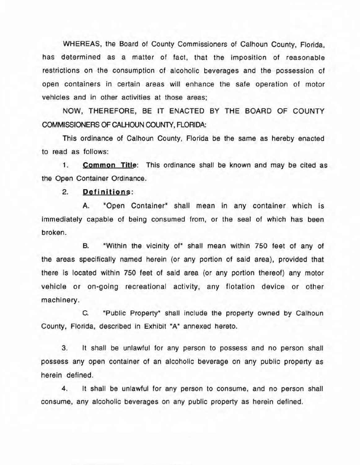WHEREAS, the Board of County Commissioners of Calhoun County, Florida, has determined as a matter of fact, that the imposition of reasonable restrictions on the consumption of alcoholic beverages and the possession of open containers in certain areas will enhance the safe operation of motor vehicles and in other activities at those areas;

NOW, THEREFORE, BE IT ENACTED BY THE BOARD OF COUNTY COMMISSIONERS OF CALHOUN COUNTY, FLORIDA:

This ordinance of Calhoun County, Florida be the same as hereby enacted to read as follows:

**1. Common Title:** This ordinance shall be known and may be cited as the Open Container Ordinance.

2. **Definitions :** 

A. "Open Container" shall mean in any container which is immediately capable of being consumed from, or the seal of which has been broken.

B. "Within the vicinity of" shall mean within 750 feet of any of the areas specifically named herein (or any portion of said area), provided that there is located within 750 feet of said area (or any portion thereof) any motor vehicle or on-going recreational activity, any flotation device or other machinery.

C. "Public Property• shall include the property owned by Calhoun County, Florida, described in Exhibit "A" annexed hereto.

3. It shall be unlawful for any person to possess and no person shall possess any open container of an alcoholic beverage on any public property as herein defined.

4. It shall be unlawful for any person to consume. and no person shall consume, any alcoholic beverages on any public property as herein defined.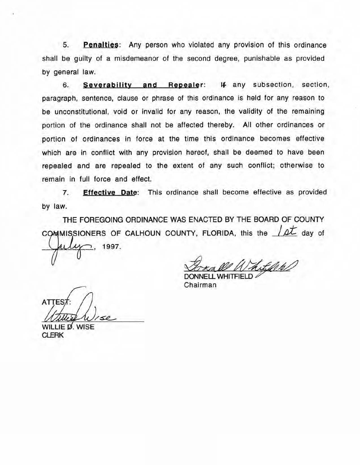5. **Penalties:** Any person who violated any provision of this ordinance shall be guilty of a misdemeanor of the second degree, punishable as provided by general law.

6. Severability and Repealer: If any subsection, section, paragraph, sentence, clause or phrase of this ordinance is held for any reason to be unconstitutional, void or invalid for any reason, the validity of the remaining portion of the ordinance shall not be affected thereby. All other ordinances or portion of ordinances in force at the time this ordinance becomes effective which are in conflict with any provision hereof, shall be deemed to have been repealed and are repealed to the extent of any such conflict: otherwise to remain in full force and effect.

7. Effective Date: This ordinance shall become effective as provided by law.

THE FOREGOING ORDINANCE WAS ENACTED BY THE BOARD OF COUNTY COMMISSIONERS OF CALHOUN COUNTY, FLORIDA, this the  $/4$  day of 1997.

Chairman DONNELL WHITFIFI D

ATTES7 WILLIE D. WISE

**CLERK**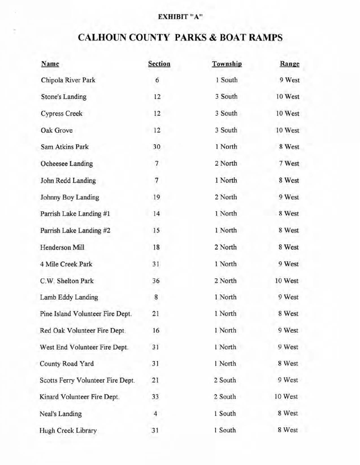## EXHIBIT "A"

## **CALHOUN COUNTY PARKS & BOAT RAMPS**

| Name                              | <b>Section</b>   | Township | Range   |
|-----------------------------------|------------------|----------|---------|
| Chipola River Park                | 6                | 1 South  | 9 West  |
| <b>Stone's Landing</b>            | 12               | 3 South  | 10 West |
| <b>Cypress Creek</b>              | 12               | 3 South  | 10 West |
| Oak Grove                         | 12               | 3 South  | 10 West |
| Sam Atkins Park                   | 30               | 1 North  | 8 West  |
| Ocheesee Landing                  | 7                | 2 North  | 7 West  |
| John Redd Landing                 | $\boldsymbol{7}$ | 1 North  | 8 West  |
| Johnny Boy Landing                | 19               | 2 North  | 9 West  |
| Parrish Lake Landing #1           | 14               | 1 North  | 8 West  |
| Parrish Lake Landing #2           | 15               | 1 North  | 8 West  |
| Henderson Mill                    | 18               | 2 North  | 8 West  |
| 4 Mile Creek Park                 | 31               | 1 North  | 9 West  |
| C.W. Shelton Park                 | 36               | 2 North  | 10 West |
| Lamb Eddy Landing                 | $\bf 8$          | 1 North  | 9 West  |
| Pine Island Volunteer Fire Dept.  | 21               | 1 North  | 8 West  |
| Red Oak Volunteer Fire Dept.      | 16               | 1 North  | 9 West  |
| West End Volunteer Fire Dept.     | 31               | 1 North  | 9 West  |
| County Road Yard                  | 31               | 1 North  | 8 West  |
| Scotts Ferry Volunteer Fire Dept. | 21               | 2 South  | 9 West  |
| Kinard Volunteer Fire Dept.       | 33               | 2 South  | 10 West |
| Neal's Landing                    | $\overline{4}$   | 1 South  | 8 West  |
| Hugh Creek Library                | 31               | 1 South  | 8 West  |